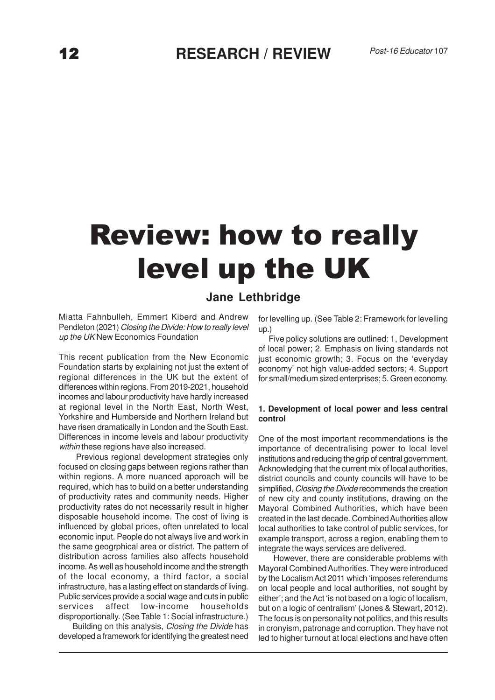# Review: how to really level up the UK

# **Jane Lethbridge**

Miatta Fahnbulleh, Emmert Kiberd and Andrew Pendleton (2021) Closing the Divide: How to really level up the UK New Economics Foundation

This recent publication from the New Economic Foundation starts by explaining not just the extent of regional differences in the UK but the extent of differences within regions. From 2019-2021, household incomes and labour productivity have hardly increased at regional level in the North East, North West, Yorkshire and Humberside and Northern Ireland but have risen dramatically in London and the South East. Differences in income levels and labour productivity within these regions have also increased.

 Previous regional development strategies only focused on closing gaps between regions rather than within regions. A more nuanced approach will be required, which has to build on a better understanding of productivity rates and community needs. Higher productivity rates do not necessarily result in higher disposable household income. The cost of living is influenced by global prices, often unrelated to local economic input. People do not always live and work in the same geogrphical area or district. The pattern of distribution across families also affects household income. As well as household income and the strength of the local economy, a third factor, a social infrastructure, has a lasting effect on standards of living. Public services provide a social wage and cuts in public services affect low-income households disproportionally. (See Table 1: Social infrastructure.)

 Building on this analysis, Closing the Divide has developed a framework for identifying the greatest need for levelling up. (See Table 2: Framework for levelling up.)

 Five policy solutions are outlined: 1, Development of local power; 2. Emphasis on living standards not just economic growth; 3. Focus on the 'everyday economy' not high value-added sectors; 4. Support for small/medium sized enterprises; 5. Green economy.

#### **1. Development of local power and less central control**

One of the most important recommendations is the importance of decentralising power to local level institutions and reducing the grip of central government. Acknowledging that the current mix of local authorities, district councils and county councils will have to be simplified, *Closing the Divide* recommends the creation of new city and county institutions, drawing on the Mayoral Combined Authorities, which have been created in the last decade. Combined Authorities allow local authorities to take control of public services, for example transport, across a region, enabling them to integrate the ways services are delivered.

 However, there are considerable problems with Mayoral Combined Authorities. They were introduced by the Localism Act 2011 which 'imposes referendums on local people and local authorities, not sought by either'; and the Act 'is not based on a logic of localism, but on a logic of centralism' (Jones & Stewart, 2012). The focus is on personality not politics, and this results in cronyism, patronage and corruption. They have not led to higher turnout at local elections and have often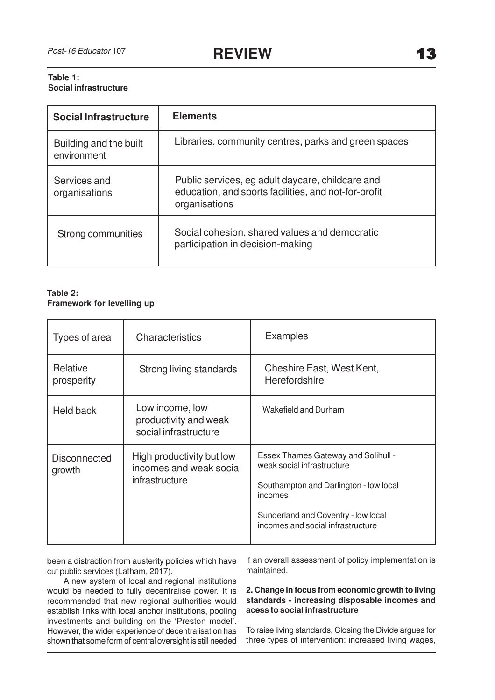# **Table 1: Social infrastructure**

| <b>Social Infrastructure</b>          | <b>Elements</b>                                                                                                           |  |
|---------------------------------------|---------------------------------------------------------------------------------------------------------------------------|--|
| Building and the built<br>environment | Libraries, community centres, parks and green spaces                                                                      |  |
| Services and<br>organisations         | Public services, eg adult daycare, childcare and<br>education, and sports facilities, and not-for-profit<br>organisations |  |
| Strong communities                    | Social cohesion, shared values and democratic<br>participation in decision-making                                         |  |

# **Table 2: Framework for levelling up**

| Types of area                 | Characteristics                                                        | <b>Examples</b>                                                                                                                                                                                           |
|-------------------------------|------------------------------------------------------------------------|-----------------------------------------------------------------------------------------------------------------------------------------------------------------------------------------------------------|
| Relative<br>prosperity        | Strong living standards                                                | Cheshire East, West Kent,<br>Herefordshire                                                                                                                                                                |
| Held back                     | Low income, low<br>productivity and weak<br>social infrastructure      | Wakefield and Durham                                                                                                                                                                                      |
| <b>Disconnected</b><br>growth | High productivity but low<br>incomes and weak social<br>infrastructure | <b>Essex Thames Gateway and Solihull -</b><br>weak social infrastructure<br>Southampton and Darlington - low local<br>incomes<br>Sunderland and Coventry - low local<br>incomes and social infrastructure |

been a distraction from austerity policies which have cut public services (Latham, 2017).

 A new system of local and regional institutions would be needed to fully decentralise power. It is recommended that new regional authorities would establish links with local anchor institutions, pooling investments and building on the 'Preston model'. However, the wider experience of decentralisation has shown that some form of central oversight is still needed if an overall assessment of policy implementation is maintained.

# **2. Change in focus from economic growth to living standards - increasing disposable incomes and acess to social infrastructure**

To raise living standards, Closing the Divide argues for three types of intervention: increased living wages,